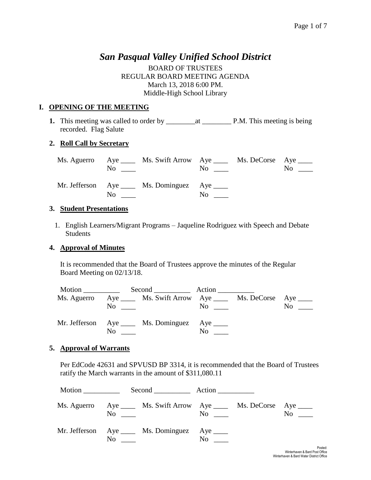# *San Pasqual Valley Unified School District*

BOARD OF TRUSTEES REGULAR BOARD MEETING AGENDA March 13, 2018 6:00 PM. Middle-High School Library

### **I. OPENING OF THE MEETING**

**1.** This meeting was called to order by \_\_\_\_\_\_\_\_at \_\_\_\_\_\_\_\_ P.M. This meeting is being recorded. Flag Salute

#### **2. Roll Call by Secretary**

|  | Ms. Aguerro Aye _____ Ms. Swift Arrow Aye ______ Ms. DeCorse Aye _____<br>$\rm No$ |                   | $\overline{N}$ o $\overline{\phantom{0}}$ | $\mathrm{No}$ $\_\_$ |
|--|------------------------------------------------------------------------------------|-------------------|-------------------------------------------|----------------------|
|  | Mr. Jefferson Aye _____ Ms. Dominguez Aye _____<br>$\rm No$                        | $\rm No$ $\qquad$ |                                           |                      |

#### **3. Student Presentations**

1. English Learners/Migrant Programs – Jaqueline Rodriguez with Speech and Debate Students

#### **4. Approval of Minutes**

It is recommended that the Board of Trustees approve the minutes of the Regular Board Meeting on 02/13/18.

|             |     | Second Action                                                                                         |                                 |  |
|-------------|-----|-------------------------------------------------------------------------------------------------------|---------------------------------|--|
| Ms. Aguerro |     | Aye ______ Ms. Swift Arrow Aye _____ Ms. DeCorse Aye _____<br>$\overline{N}$ $\overline{\phantom{0}}$ | $\overline{N}$ o $\overline{a}$ |  |
|             | No. | Mr. Jefferson Aye ____ Ms. Dominguez Aye ____                                                         | N <sub>0</sub>                  |  |

#### **5. Approval of Warrants**

Per EdCode 42631 and SPVUSD BP 3314, it is recommended that the Board of Trustees ratify the March warrants in the amount of \$311,080.11

| Motion ___________ |    |                                                            | $Second$ $Action$ $\qquad$ |                                                 |           |
|--------------------|----|------------------------------------------------------------|----------------------------|-------------------------------------------------|-----------|
| Ms. Aguerro        | No | Aye ______ Ms. Swift Arrow Aye _____ Ms. DeCorse Aye _____ |                            | $\overline{\text{No}}$ $\overline{\phantom{a}}$ | $No \_\_$ |
|                    | No | Mr. Jefferson Aye _____ Ms. Dominguez Aye _____            | No                         |                                                 |           |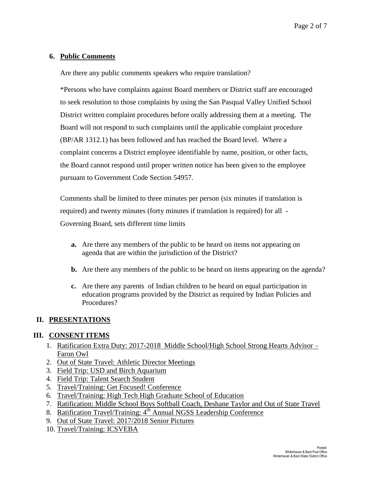#### **6. Public Comments**

Are there any public comments speakers who require translation?

\*Persons who have complaints against Board members or District staff are encouraged to seek resolution to those complaints by using the San Pasqual Valley Unified School District written complaint procedures before orally addressing them at a meeting. The Board will not respond to such complaints until the applicable complaint procedure (BP/AR 1312.1) has been followed and has reached the Board level. Where a complaint concerns a District employee identifiable by name, position, or other facts, the Board cannot respond until proper written notice has been given to the employee pursuant to Government Code Section 54957.

Comments shall be limited to three minutes per person (six minutes if translation is required) and twenty minutes (forty minutes if translation is required) for all - Governing Board, sets different time limits

- **a.** Are there any members of the public to be heard on items not appearing on agenda that are within the jurisdiction of the District?
- **b.** Are there any members of the public to be heard on items appearing on the agenda?
- **c.** Are there any parents of Indian children to be heard on equal participation in education programs provided by the District as required by Indian Policies and Procedures?

#### **II. PRESENTATIONS**

#### **III. CONSENT ITEMS**

- 1. Ratification Extra Duty: 2017-2018 Middle School/High School Strong Hearts Advisor Faron Owl
- 2. Out of State Travel: Athletic Director Meetings
- 3. Field Trip: USD and Birch Aquarium
- 4. Field Trip: Talent Search Student
- 5. Travel/Training: Get Focused! Conference
- 6. Travel/Training: High Tech High Graduate School of Education
- 7. Ratification: Middle School Boys Softball Coach, Deshane Taylor and Out of State Travel
- 8. Ratification Travel/Training: 4<sup>th</sup> Annual NGSS Leadership Conference
- 9. Out of State Travel: 2017/2018 Senior Pictures
- 10. Travel/Training: ICSVEBA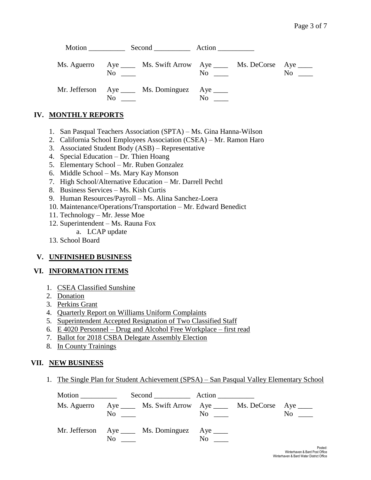|  |  |                                                                                    | Motion Second Action                                                                                                                                                                                                           |                                          |                |  |
|--|--|------------------------------------------------------------------------------------|--------------------------------------------------------------------------------------------------------------------------------------------------------------------------------------------------------------------------------|------------------------------------------|----------------|--|
|  |  | Ms. Aguerro Aye _____ Ms. Swift Arrow Aye _____ Ms. DeCorse Aye ____<br>$No \ \ \$ |                                                                                                                                                                                                                                | $\overline{N}$ $\overline{\phantom{nn}}$ | N <sub>0</sub> |  |
|  |  | Mr. Jefferson Aye _____ Ms. Dominguez Aye _____<br>$\overline{\text{No}}$          | No the set of the set of the set of the set of the set of the set of the set of the set of the set of the set of the set of the set of the set of the set of the set of the set of the set of the set of the set of the set of |                                          |                |  |

## **IV. MONTHLY REPORTS**

- 1. San Pasqual Teachers Association (SPTA) Ms. Gina Hanna-Wilson
- 2. California School Employees Association (CSEA) Mr. Ramon Haro
- 3. Associated Student Body (ASB) Representative
- 4. Special Education Dr. Thien Hoang
- 5. Elementary School Mr. Ruben Gonzalez
- 6. Middle School Ms. Mary Kay Monson
- 7. High School/Alternative Education Mr. Darrell Pechtl
- 8. Business Services Ms. Kish Curtis
- 9. Human Resources/Payroll Ms. Alina Sanchez-Loera
- 10. Maintenance/Operations/Transportation Mr. Edward Benedict
- 11. Technology Mr. Jesse Moe
- 12. Superintendent Ms. Rauna Fox
	- a. LCAP update
- 13. School Board

#### **V. UNFINISHED BUSINESS**

#### **VI. INFORMATION ITEMS**

- 1. CSEA Classified Sunshine
- 2. Donation
- 3. Perkins Grant
- 4. Quarterly Report on Williams Uniform Complaints
- 5. Superintendent Accepted Resignation of Two Classified Staff
- 6. E 4020 Personnel Drug and Alcohol Free Workplace first read
- 7. Ballot for 2018 CSBA Delegate Assembly Election
- 8. In County Trainings

#### **VII. NEW BUSINESS**

1. The Single Plan for Student Achievement (SPSA) – San Pasqual Valley Elementary School

|                                                                             | Second Action |                                           |                   |
|-----------------------------------------------------------------------------|---------------|-------------------------------------------|-------------------|
| Ms. Aguerro Aye _____ Ms. Swift Arrow Aye _____ Ms. DeCorse Aye ____<br>No. |               | $\overline{N}$ o $\overline{\phantom{0}}$ | $\rm No$ $\qquad$ |
| Mr. Jefferson Aye ____ Ms. Dominguez Aye ____<br>No.                        |               | No.                                       |                   |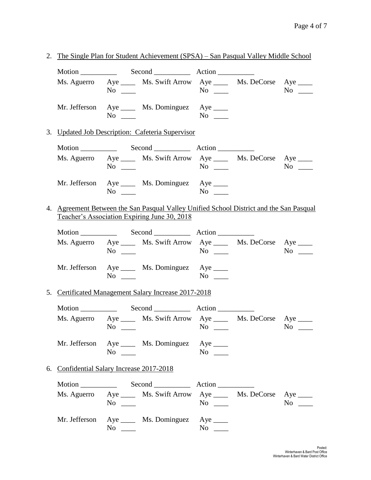2. The Single Plan for Student Achievement (SPSA) – San Pasqual Valley Middle School Motion \_\_\_\_\_\_\_\_\_\_ Second \_\_\_\_\_\_\_\_\_\_ Action \_\_\_\_\_\_\_\_\_\_ Ms. Aguerro Aye \_\_\_\_ Ms. Swift Arrow Aye \_\_\_\_ Ms. DeCorse Aye \_\_\_\_ No \_\_\_\_ No \_\_\_\_ No \_\_\_\_ Mr. Jefferson Aye \_\_\_\_ Ms. Dominguez Aye \_\_\_\_ No \_\_\_\_ No \_\_\_ 3. Updated Job Description: Cafeteria Supervisor Motion Second Action Ms. Aguerro Aye \_\_\_\_ Ms. Swift Arrow Aye \_\_\_\_ Ms. DeCorse Aye \_\_\_\_ No \_\_\_ No \_\_ No \_\_ No \_\_ No \_\_ Mr. Jefferson Aye \_\_\_\_ Ms. Dominguez Aye \_\_\_\_ No \_\_\_ No \_\_\_ 4. Agreement Between the San Pasqual Valley Unified School District and the San Pasqual Teacher's Association Expiring June 30, 2018 Motion \_\_\_\_\_\_\_\_\_\_ Second \_\_\_\_\_\_\_\_\_\_ Action \_\_\_\_\_\_\_\_\_\_ Ms. Aguerro Aye \_\_\_\_ Ms. Swift Arrow Aye \_\_\_\_ Ms. DeCorse Aye \_\_\_\_ No \_\_\_\_ No \_\_\_\_ No \_\_\_\_ Mr. Jefferson Aye \_\_\_\_ Ms. Dominguez Aye \_\_\_\_ No \_\_\_\_ No \_\_\_ 5. Certificated Management Salary Increase 2017-2018 Motion Second Action Ms. Aguerro Aye \_\_\_\_ Ms. Swift Arrow Aye \_\_\_\_ Ms. DeCorse Aye \_\_\_\_ No \_\_\_ No \_\_ No \_\_ No \_\_ No \_\_ Mr. Jefferson Aye \_\_\_\_ Ms. Dominguez Aye \_\_\_\_ No \_\_\_ No \_\_ No \_\_ 6. Confidential Salary Increase 2017-2018 Motion Second Action Ms. Aguerro Aye \_\_\_\_ Ms. Swift Arrow Aye \_\_\_\_ Ms. DeCorse Aye \_\_\_\_ No \_\_\_ No \_\_ No \_\_ No \_\_ No \_\_ Mr. Jefferson Aye \_\_\_\_ Ms. Dominguez Aye \_\_\_\_ No \_\_\_ No \_\_\_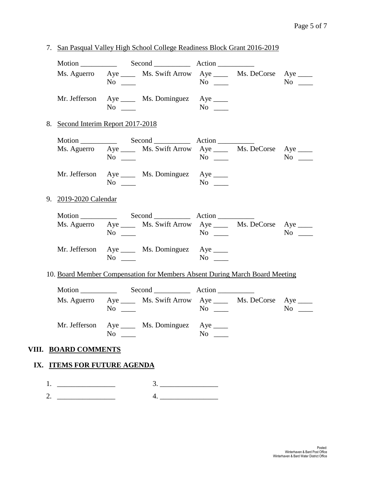- Motion Second Action Ms. Aguerro Aye \_\_\_\_ Ms. Swift Arrow Aye \_\_\_\_ Ms. DeCorse Aye \_\_\_\_ No \_\_\_ No \_\_ No \_\_ No \_\_ No \_\_ Mr. Jefferson Aye \_\_\_\_ Ms. Dominguez Aye \_\_\_\_ No \_\_\_\_ No \_\_\_ 8. Second Interim Report 2017-2018 Motion **Second** Action Ms. Aguerro Aye \_\_\_\_ Ms. Swift Arrow Aye \_\_\_\_ Ms. DeCorse Aye \_\_\_\_ No \_\_\_\_ No \_\_\_\_ No \_\_\_\_ Mr. Jefferson Aye \_\_\_\_ Ms. Dominguez Aye \_\_\_\_ No \_\_\_\_ No \_\_\_ 9. 2019-2020 Calendar Motion \_\_\_\_\_\_\_\_\_\_ Second \_\_\_\_\_\_\_\_\_\_ Action \_\_\_\_\_\_\_\_\_\_ Ms. Aguerro Aye Ms. Swift Arrow Aye Ms. DeCorse Aye Ms. No \_\_\_ No \_\_ No \_\_ No \_\_ No \_\_ Mr. Jefferson Aye \_\_\_\_ Ms. Dominguez Aye \_\_\_\_ No \_\_\_\_ No \_\_\_\_ 10. Board Member Compensation for Members Absent During March Board Meeting Motion **Second** Action Ms. Aguerro Aye \_\_\_\_ Ms. Swift Arrow Aye \_\_\_\_ Ms. DeCorse Aye \_\_\_\_ No \_\_\_ No \_\_ No \_\_ No \_\_ No \_\_ Mr. Jefferson Aye \_\_\_\_ Ms. Dominguez Aye \_\_\_\_ No  $\qquad \qquad$  No  $\qquad \qquad$ **VIII. BOARD COMMENTS IX. ITEMS FOR FUTURE AGENDA**  1. \_\_\_\_\_\_\_\_\_\_\_\_\_\_\_\_ 3. \_\_\_\_\_\_\_\_\_\_\_\_\_\_\_\_  $2.$   $4.$
- 7. San Pasqual Valley High School College Readiness Block Grant 2016-2019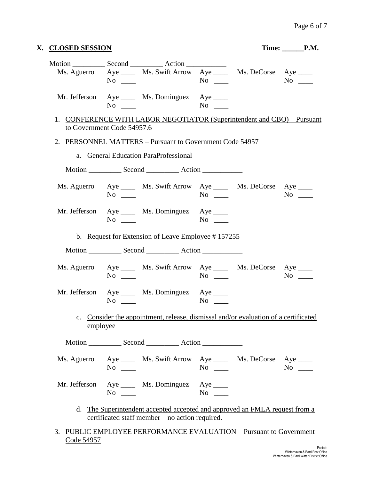| X. CLOSED SESSION |                                                                                                       |                    | $Time:$ $P.M.$ |
|-------------------|-------------------------------------------------------------------------------------------------------|--------------------|----------------|
|                   | Ms. Aguerro Aye ______ Ms. Swift Arrow Aye ______ Ms. DeCorse Aye _____<br>$No \ \_$                  |                    |                |
|                   | Mr. Jefferson Aye _____ Ms. Dominguez Aye _____<br>$No \ \_$                                          |                    |                |
|                   | 1. CONFERENCE WITH LABOR NEGOTIATOR (Superintendent and CBO) – Pursuant<br>to Government Code 54957.6 |                    |                |
|                   | 2. PERSONNEL MATTERS - Pursuant to Government Code 54957                                              |                    |                |
|                   | a. General Education ParaProfessional                                                                 |                    |                |
|                   |                                                                                                       |                    |                |
|                   | Ms. Aguerro Aye _____ Ms. Swift Arrow Aye _____ Ms. DeCorse Aye ____<br>$No \ \_$                     | $No \ \_$          | $No \ \_$      |
|                   | Mr. Jefferson Aye _____ Ms. Dominguez Aye _____<br>$No \ \_$                                          | $No \ \_$          |                |
|                   | b. Request for Extension of Leave Employee #157255                                                    |                    |                |
|                   |                                                                                                       |                    |                |
|                   |                                                                                                       |                    |                |
|                   | Ms. Aguerro Aye _____ Ms. Swift Arrow Aye _____ Ms. DeCorse Aye ____<br>$No \_\_$                     | $No \ \_$          |                |
|                   | Mr. Jefferson Aye _____ Ms. Dominguez Aye ____<br>$No \ \_$                                           | $No \_$            | $No \_\_$      |
|                   | c. Consider the appointment, release, dismissal and/or evaluation of a certificated<br>employee       |                    |                |
|                   |                                                                                                       |                    |                |
|                   | Ms. Aguerro Aye _____ Ms. Swift Arrow Aye _____ Ms. DeCorse Aye ____<br>$No \_$                       | $\overline{N_{0}}$ |                |

3. PUBLIC EMPLOYEE PERFORMANCE EVALUATION – Pursuant to Government Code 54957